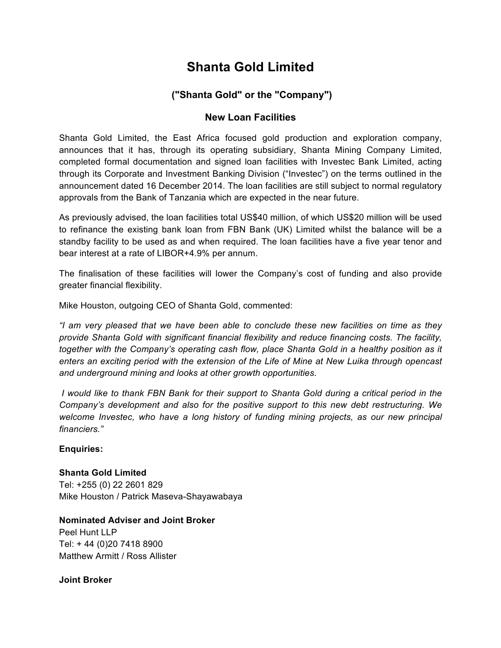# **Shanta Gold Limited**

## **("Shanta Gold" or the "Company")**

### **New Loan Facilities**

Shanta Gold Limited, the East Africa focused gold production and exploration company, announces that it has, through its operating subsidiary, Shanta Mining Company Limited, completed formal documentation and signed loan facilities with Investec Bank Limited, acting through its Corporate and Investment Banking Division ("Investec") on the terms outlined in the announcement dated 16 December 2014. The loan facilities are still subject to normal regulatory approvals from the Bank of Tanzania which are expected in the near future.

As previously advised, the loan facilities total US\$40 million, of which US\$20 million will be used to refinance the existing bank loan from FBN Bank (UK) Limited whilst the balance will be a standby facility to be used as and when required. The loan facilities have a five year tenor and bear interest at a rate of LIBOR+4.9% per annum.

The finalisation of these facilities will lower the Company's cost of funding and also provide greater financial flexibility.

Mike Houston, outgoing CEO of Shanta Gold, commented:

*"I am very pleased that we have been able to conclude these new facilities on time as they provide Shanta Gold with significant financial flexibility and reduce financing costs. The facility, together with the Company's operating cash flow, place Shanta Gold in a healthy position as it enters an exciting period with the extension of the Life of Mine at New Luika through opencast and underground mining and looks at other growth opportunities.* 

*I would like to thank FBN Bank for their support to Shanta Gold during a critical period in the Company's development and also for the positive support to this new debt restructuring. We welcome Investec, who have a long history of funding mining projects, as our new principal financiers."* 

#### **Enquiries:**

**Shanta Gold Limited**  Tel: +255 (0) 22 2601 829 Mike Houston / Patrick Maseva-Shayawabaya

**Nominated Adviser and Joint Broker** Peel Hunt LLP Tel: + 44 (0)20 7418 8900 Matthew Armitt / Ross Allister

**Joint Broker**